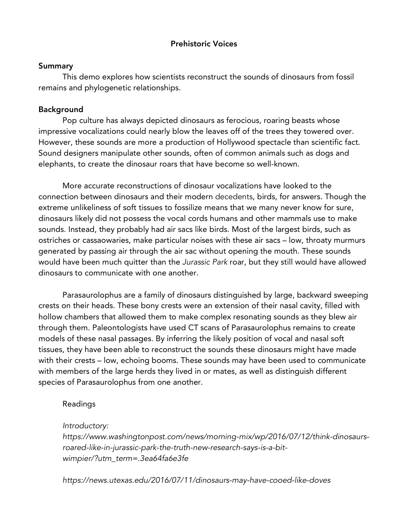## Prehistoric Voices

#### **Summary**

This demo explores how scientists reconstruct the sounds of dinosaurs from fossil remains and phylogenetic relationships.

# Background

Pop culture has always depicted dinosaurs as ferocious, roaring beasts whose impressive vocalizations could nearly blow the leaves off of the trees they towered over. However, these sounds are more a production of Hollywood spectacle than scientific fact. Sound designers manipulate other sounds, often of common animals such as dogs and elephants, to create the dinosaur roars that have become so well-known.

More accurate reconstructions of dinosaur vocalizations have looked to the connection between dinosaurs and their modern decedents, birds, for answers. Though the extreme unlikeliness of soft tissues to fossilize means that we many never know for sure, dinosaurs likely did not possess the vocal cords humans and other mammals use to make sounds. Instead, they probably had air sacs like birds. Most of the largest birds, such as ostriches or cassaowaries, make particular noises with these air sacs – low, throaty murmurs generated by passing air through the air sac without opening the mouth. These sounds would have been much quitter than the *Jurassic Park* roar, but they still would have allowed dinosaurs to communicate with one another.

Parasaurolophus are a family of dinosaurs distinguished by large, backward sweeping crests on their heads. These bony crests were an extension of their nasal cavity, filled with hollow chambers that allowed them to make complex resonating sounds as they blew air through them. Paleontologists have used CT scans of Parasaurolophus remains to create models of these nasal passages. By inferring the likely position of vocal and nasal soft tissues, they have been able to reconstruct the sounds these dinosaurs might have made with their crests – low, echoing booms. These sounds may have been used to communicate with members of the large herds they lived in or mates, as well as distinguish different species of Parasaurolophus from one another.

# Readings

## *Introductory:*

*https://www.washingtonpost.com/news/morning-mix/wp/2016/07/12/think-dinosaursroared-like-in-jurassic-park-the-truth-new-research-says-is-a-bitwimpier/?utm\_term=.3ea64fa6e3fe*

*https://news.utexas.edu/2016/07/11/dinosaurs-may-have-cooed-like-doves*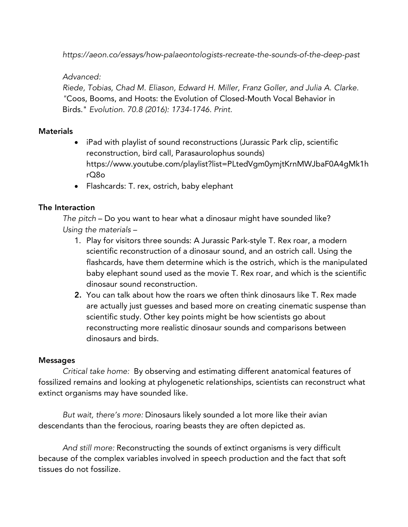*https://aeon.co/essays/how-palaeontologists-recreate-the-sounds-of-the-deep-past*

## *Advanced:*

*Riede, Tobias, Chad M. Eliason, Edward H. Miller, Franz Goller, and Julia A. Clarke. "*Coos, Booms, and Hoots: the Evolution of Closed-Mouth Vocal Behavior in Birds." *Evolution. 70.8 (2016): 1734-1746. Print.*

### **Materials**

- iPad with playlist of sound reconstructions (Jurassic Park clip, scientific reconstruction, bird call, Parasaurolophus sounds) https://www.youtube.com/playlist?list=PLtedVgm0ymjtKrnMWJbaF0A4gMk1h rQ8o
- Flashcards: T. rex, ostrich, baby elephant

## The Interaction

*The pitch* – Do you want to hear what a dinosaur might have sounded like? *Using the materials –*

- 1. Play for visitors three sounds: A Jurassic Park-style T. Rex roar, a modern scientific reconstruction of a dinosaur sound, and an ostrich call. Using the flashcards, have them determine which is the ostrich, which is the manipulated baby elephant sound used as the movie T. Rex roar, and which is the scientific dinosaur sound reconstruction.
- 2. You can talk about how the roars we often think dinosaurs like T. Rex made are actually just guesses and based more on creating cinematic suspense than scientific study. Other key points might be how scientists go about reconstructing more realistic dinosaur sounds and comparisons between dinosaurs and birds.

## Messages

*Critical take home:* By observing and estimating different anatomical features of fossilized remains and looking at phylogenetic relationships, scientists can reconstruct what extinct organisms may have sounded like.

*But wait, there's more:* Dinosaurs likely sounded a lot more like their avian descendants than the ferocious, roaring beasts they are often depicted as.

*And still more:* Reconstructing the sounds of extinct organisms is very difficult because of the complex variables involved in speech production and the fact that soft tissues do not fossilize.